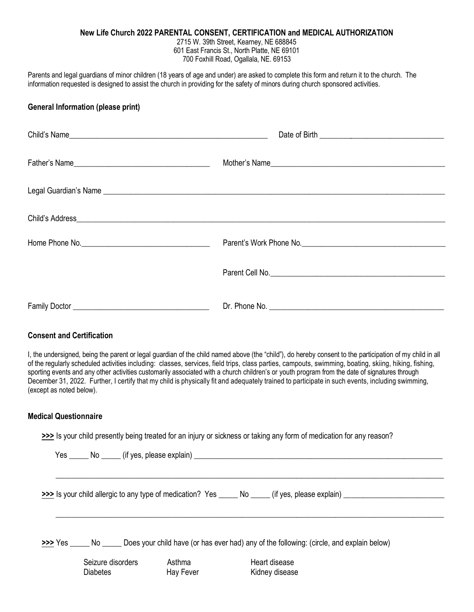## **New Life Church 2022 PARENTAL CONSENT, CERTIFICATION and MEDICAL AUTHORIZATION**

2715 W. 39th Street, Kearney, NE 688845 601 East Francis St., North Platte, NE 69101 700 Foxhill Road, Ogallala, NE. 69153

Parents and legal guardians of minor children (18 years of age and under) are asked to complete this form and return it to the church. The information requested is designed to assist the church in providing for the safety of minors during church sponsored activities.

## **General Information (please print)**

| Home Phone No. | Parent's Work Phone No. |
|----------------|-------------------------|
|                |                         |
|                |                         |

## **Consent and Certification**

I, the undersigned, being the parent or legal guardian of the child named above (the "child"), do hereby consent to the participation of my child in all of the regularly scheduled activities including: classes, services, field trips, class parties, campouts, swimming, boating, skiing, hiking, fishing, sporting events and any other activities customarily associated with a church children's or youth program from the date of signatures through December 31, 2022. Further, I certify that my child is physically fit and adequately trained to participate in such events, including swimming, (except as noted below).

## **Medical Questionnaire**

**>>>** Is your child presently being treated for an injury or sickness or taking any form of medication for any reason?

| Yes _______ No ______ (if yes, please explain) _________________________________ |                     |                                                                                                                 |
|----------------------------------------------------------------------------------|---------------------|-----------------------------------------------------------------------------------------------------------------|
|                                                                                  |                     | >>> Is your child allergic to any type of medication? Yes _______ No ______ (if yes, please explain)            |
|                                                                                  |                     | Yes _______ No _______ Does your child have (or has ever had) any of the following: (circle, and explain below) |
| Seizure disorders<br><b>Diabetes</b>                                             | Asthma<br>Hay Fever | Heart disease<br>Kidney disease                                                                                 |